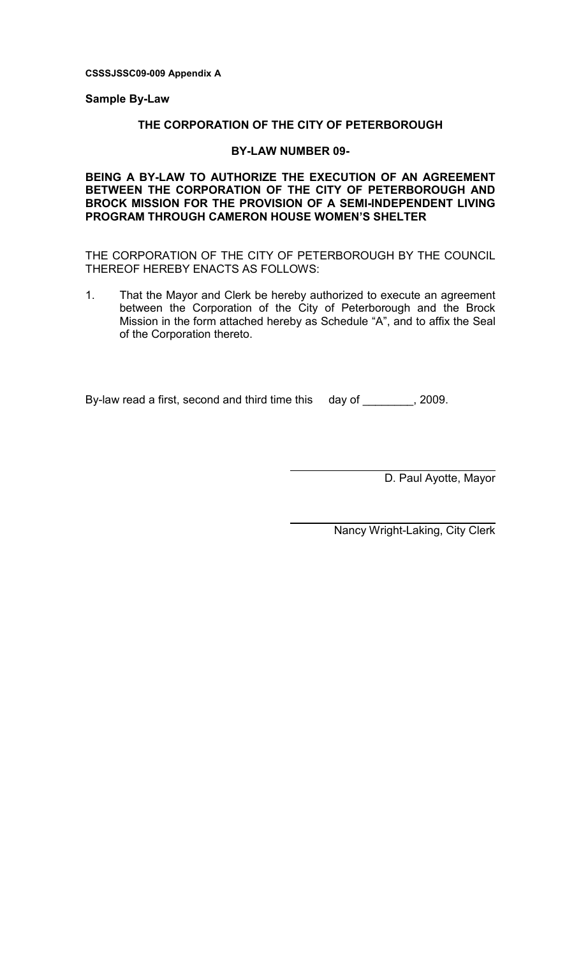CSSSJSSC09-009 Appendix A

#### Sample By-Law

### THE CORPORATION OF THE CITY OF PETERBOROUGH

### BY-LAW NUMBER 09-

# BEING A BY-LAW TO AUTHORIZE THE EXECUTION OF AN AGREEMENT BETWEEN THE CORPORATION OF THE CITY OF PETERBOROUGH AND BROCK MISSION FOR THE PROVISION OF A SEMI-INDEPENDENT LIVING PROGRAM THROUGH CAMERON HOUSE WOMEN'S SHELTER

THE CORPORATION OF THE CITY OF PETERBOROUGH BY THE COUNCIL THEREOF HEREBY ENACTS AS FOLLOWS:

1. That the Mayor and Clerk be hereby authorized to execute an agreement between the Corporation of the City of Peterborough and the Brock Mission in the form attached hereby as Schedule "A", and to affix the Seal of the Corporation thereto.

 $\overline{a}$ 

By-law read a first, second and third time this day of \_\_\_\_\_\_\_\_, 2009.

D. Paul Ayotte, Mayor

Nancy Wright-Laking, City Clerk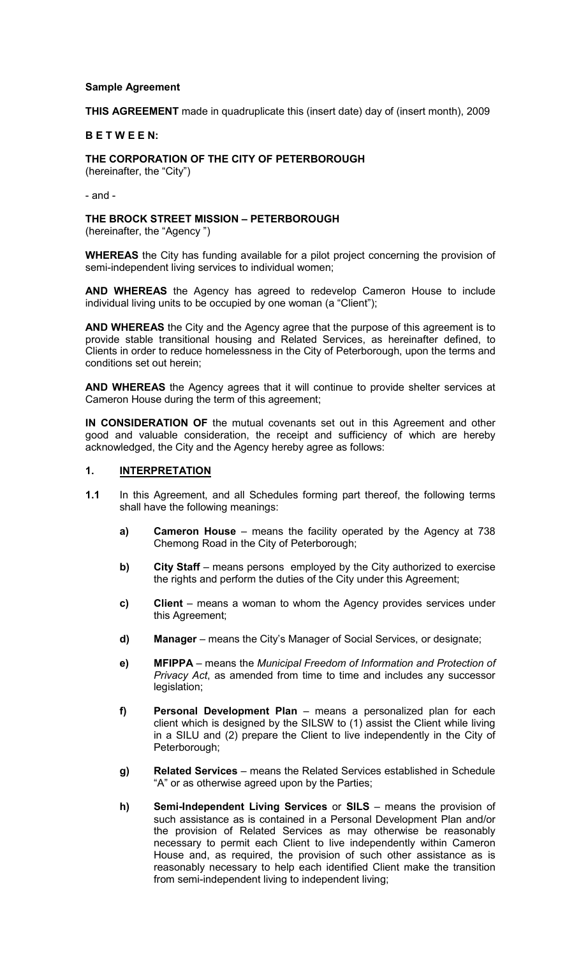#### Sample Agreement

THIS AGREEMENT made in quadruplicate this (insert date) day of (insert month), 2009

#### B E T W E E N:

THE CORPORATION OF THE CITY OF PETERBOROUGH

(hereinafter, the "City")

- and -

THE BROCK STREET MISSION – PETERBOROUGH

(hereinafter, the "Agency ")

WHEREAS the City has funding available for a pilot project concerning the provision of semi-independent living services to individual women;

AND WHEREAS the Agency has agreed to redevelop Cameron House to include individual living units to be occupied by one woman (a "Client");

AND WHEREAS the City and the Agency agree that the purpose of this agreement is to provide stable transitional housing and Related Services, as hereinafter defined, to Clients in order to reduce homelessness in the City of Peterborough, upon the terms and conditions set out herein;

AND WHEREAS the Agency agrees that it will continue to provide shelter services at Cameron House during the term of this agreement;

IN CONSIDERATION OF the mutual covenants set out in this Agreement and other good and valuable consideration, the receipt and sufficiency of which are hereby acknowledged, the City and the Agency hereby agree as follows:

#### 1. INTERPRETATION

- 1.1 In this Agreement, and all Schedules forming part thereof, the following terms shall have the following meanings:
	- a) Cameron House means the facility operated by the Agency at 738 Chemong Road in the City of Peterborough;
	- b) City Staff means persons employed by the City authorized to exercise the rights and perform the duties of the City under this Agreement;
	- c) Client means a woman to whom the Agency provides services under this Agreement;
	- d) Manager means the City's Manager of Social Services, or designate;
	- e) MFIPPA means the Municipal Freedom of Information and Protection of Privacy Act, as amended from time to time and includes any successor legislation;
	- f) Personal Development Plan means a personalized plan for each client which is designed by the SILSW to (1) assist the Client while living in a SILU and (2) prepare the Client to live independently in the City of Peterborough;
	- g) Related Services means the Related Services established in Schedule "A" or as otherwise agreed upon by the Parties;
	- h) Semi-Independent Living Services or SILS means the provision of such assistance as is contained in a Personal Development Plan and/or the provision of Related Services as may otherwise be reasonably necessary to permit each Client to live independently within Cameron House and, as required, the provision of such other assistance as is reasonably necessary to help each identified Client make the transition from semi-independent living to independent living;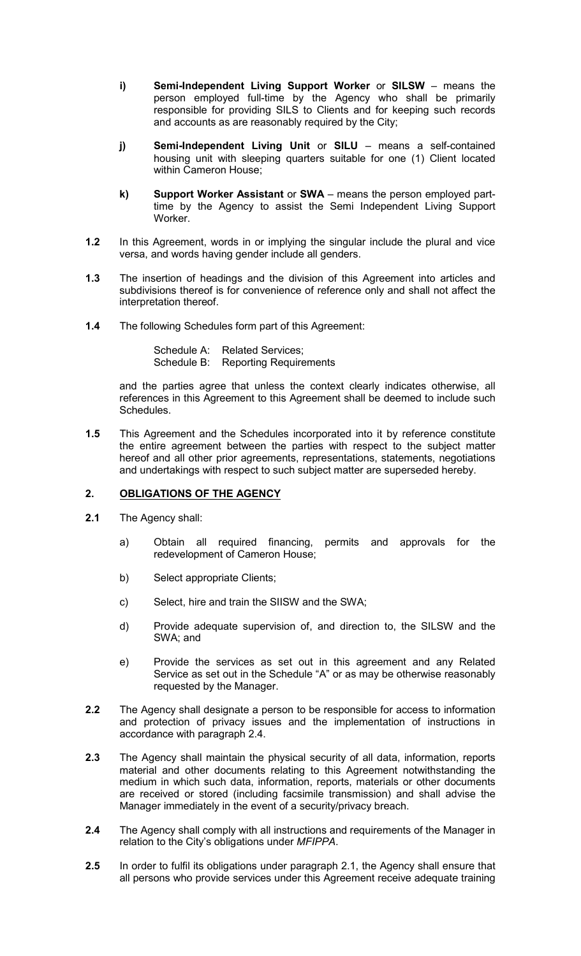- i) Semi-Independent Living Support Worker or SILSW means the person employed full-time by the Agency who shall be primarily responsible for providing SILS to Clients and for keeping such records and accounts as are reasonably required by the City;
- j) Semi-Independent Living Unit or SILU means a self-contained housing unit with sleeping quarters suitable for one (1) Client located within Cameron House;
- k) Support Worker Assistant or SWA means the person employed parttime by the Agency to assist the Semi Independent Living Support Worker.
- 1.2 In this Agreement, words in or implying the singular include the plural and vice versa, and words having gender include all genders.
- 1.3 The insertion of headings and the division of this Agreement into articles and subdivisions thereof is for convenience of reference only and shall not affect the interpretation thereof.
- 1.4 The following Schedules form part of this Agreement:

Schedule A: Related Services; Schedule B: Reporting Requirements

and the parties agree that unless the context clearly indicates otherwise, all references in this Agreement to this Agreement shall be deemed to include such Schedules.

1.5 This Agreement and the Schedules incorporated into it by reference constitute the entire agreement between the parties with respect to the subject matter hereof and all other prior agreements, representations, statements, negotiations and undertakings with respect to such subject matter are superseded hereby.

# 2. OBLIGATIONS OF THE AGENCY

- 2.1 The Agency shall:
	- a) Obtain all required financing, permits and approvals for the redevelopment of Cameron House;
	- b) Select appropriate Clients;
	- c) Select, hire and train the SIISW and the SWA;
	- d) Provide adequate supervision of, and direction to, the SILSW and the SWA; and
	- e) Provide the services as set out in this agreement and any Related Service as set out in the Schedule "A" or as may be otherwise reasonably requested by the Manager.
- 2.2 The Agency shall designate a person to be responsible for access to information and protection of privacy issues and the implementation of instructions in accordance with paragraph 2.4.
- 2.3 The Agency shall maintain the physical security of all data, information, reports material and other documents relating to this Agreement notwithstanding the medium in which such data, information, reports, materials or other documents are received or stored (including facsimile transmission) and shall advise the Manager immediately in the event of a security/privacy breach.
- 2.4 The Agency shall comply with all instructions and requirements of the Manager in relation to the City's obligations under MFIPPA.
- 2.5 In order to fulfil its obligations under paragraph 2.1, the Agency shall ensure that all persons who provide services under this Agreement receive adequate training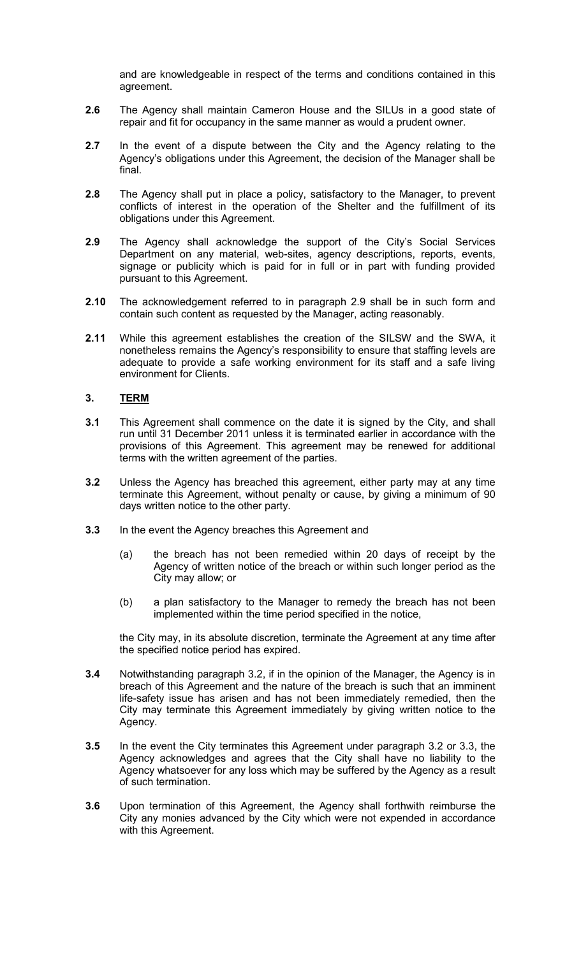and are knowledgeable in respect of the terms and conditions contained in this agreement.

- 2.6 The Agency shall maintain Cameron House and the SILUs in a good state of repair and fit for occupancy in the same manner as would a prudent owner.
- 2.7 In the event of a dispute between the City and the Agency relating to the Agency's obligations under this Agreement, the decision of the Manager shall be final.
- 2.8 The Agency shall put in place a policy, satisfactory to the Manager, to prevent conflicts of interest in the operation of the Shelter and the fulfillment of its obligations under this Agreement.
- 2.9 The Agency shall acknowledge the support of the City's Social Services Department on any material, web-sites, agency descriptions, reports, events, signage or publicity which is paid for in full or in part with funding provided pursuant to this Agreement.
- 2.10 The acknowledgement referred to in paragraph 2.9 shall be in such form and contain such content as requested by the Manager, acting reasonably.
- 2.11 While this agreement establishes the creation of the SILSW and the SWA, it nonetheless remains the Agency's responsibility to ensure that staffing levels are adequate to provide a safe working environment for its staff and a safe living environment for Clients.

# 3. TERM

- 3.1 This Agreement shall commence on the date it is signed by the City, and shall run until 31 December 2011 unless it is terminated earlier in accordance with the provisions of this Agreement. This agreement may be renewed for additional terms with the written agreement of the parties.
- 3.2 Unless the Agency has breached this agreement, either party may at any time terminate this Agreement, without penalty or cause, by giving a minimum of 90 days written notice to the other party.
- **3.3** In the event the Agency breaches this Agreement and
	- (a) the breach has not been remedied within 20 days of receipt by the Agency of written notice of the breach or within such longer period as the City may allow; or
	- (b) a plan satisfactory to the Manager to remedy the breach has not been implemented within the time period specified in the notice,

the City may, in its absolute discretion, terminate the Agreement at any time after the specified notice period has expired.

- 3.4 Notwithstanding paragraph 3.2, if in the opinion of the Manager, the Agency is in breach of this Agreement and the nature of the breach is such that an imminent life-safety issue has arisen and has not been immediately remedied, then the City may terminate this Agreement immediately by giving written notice to the Agency.
- 3.5 In the event the City terminates this Agreement under paragraph 3.2 or 3.3, the Agency acknowledges and agrees that the City shall have no liability to the Agency whatsoever for any loss which may be suffered by the Agency as a result of such termination.
- 3.6 Upon termination of this Agreement, the Agency shall forthwith reimburse the City any monies advanced by the City which were not expended in accordance with this Agreement.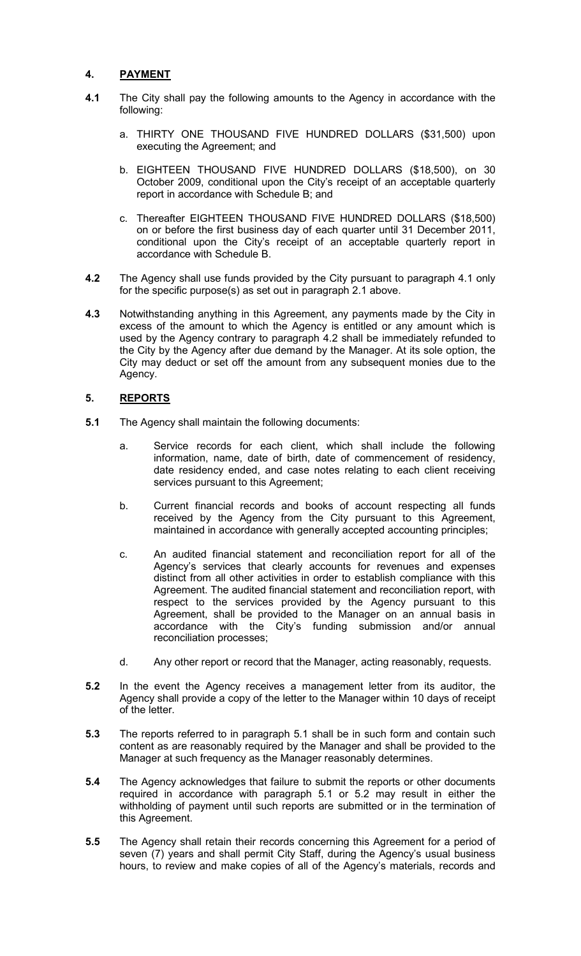# 4. PAYMENT

- 4.1 The City shall pay the following amounts to the Agency in accordance with the following:
	- a. THIRTY ONE THOUSAND FIVE HUNDRED DOLLARS (\$31,500) upon executing the Agreement; and
	- b. EIGHTEEN THOUSAND FIVE HUNDRED DOLLARS (\$18,500), on 30 October 2009, conditional upon the City's receipt of an acceptable quarterly report in accordance with Schedule B; and
	- c. Thereafter EIGHTEEN THOUSAND FIVE HUNDRED DOLLARS (\$18,500) on or before the first business day of each quarter until 31 December 2011, conditional upon the City's receipt of an acceptable quarterly report in accordance with Schedule B.
- 4.2 The Agency shall use funds provided by the City pursuant to paragraph 4.1 only for the specific purpose(s) as set out in paragraph 2.1 above.
- 4.3 Notwithstanding anything in this Agreement, any payments made by the City in excess of the amount to which the Agency is entitled or any amount which is used by the Agency contrary to paragraph 4.2 shall be immediately refunded to the City by the Agency after due demand by the Manager. At its sole option, the City may deduct or set off the amount from any subsequent monies due to the Agency.

# 5. REPORTS

- 5.1 The Agency shall maintain the following documents:
	- a. Service records for each client, which shall include the following information, name, date of birth, date of commencement of residency, date residency ended, and case notes relating to each client receiving services pursuant to this Agreement;
	- b. Current financial records and books of account respecting all funds received by the Agency from the City pursuant to this Agreement, maintained in accordance with generally accepted accounting principles;
	- c. An audited financial statement and reconciliation report for all of the Agency's services that clearly accounts for revenues and expenses distinct from all other activities in order to establish compliance with this Agreement. The audited financial statement and reconciliation report, with respect to the services provided by the Agency pursuant to this Agreement, shall be provided to the Manager on an annual basis in accordance with the City's funding submission and/or annual reconciliation processes;
	- d. Any other report or record that the Manager, acting reasonably, requests.
- 5.2 In the event the Agency receives a management letter from its auditor, the Agency shall provide a copy of the letter to the Manager within 10 days of receipt of the letter.
- 5.3 The reports referred to in paragraph 5.1 shall be in such form and contain such content as are reasonably required by the Manager and shall be provided to the Manager at such frequency as the Manager reasonably determines.
- 5.4 The Agency acknowledges that failure to submit the reports or other documents required in accordance with paragraph 5.1 or 5.2 may result in either the withholding of payment until such reports are submitted or in the termination of this Agreement.
- 5.5 The Agency shall retain their records concerning this Agreement for a period of seven (7) years and shall permit City Staff, during the Agency's usual business hours, to review and make copies of all of the Agency's materials, records and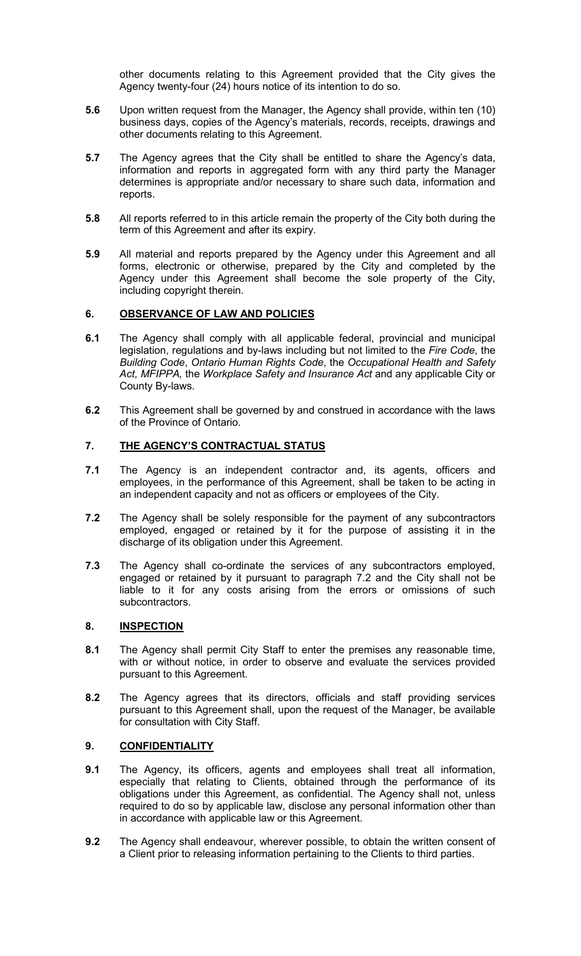other documents relating to this Agreement provided that the City gives the Agency twenty-four (24) hours notice of its intention to do so.

- 5.6 Upon written request from the Manager, the Agency shall provide, within ten (10) business days, copies of the Agency's materials, records, receipts, drawings and other documents relating to this Agreement.
- 5.7 The Agency agrees that the City shall be entitled to share the Agency's data, information and reports in aggregated form with any third party the Manager determines is appropriate and/or necessary to share such data, information and reports.
- 5.8 All reports referred to in this article remain the property of the City both during the term of this Agreement and after its expiry.
- 5.9 All material and reports prepared by the Agency under this Agreement and all forms, electronic or otherwise, prepared by the City and completed by the Agency under this Agreement shall become the sole property of the City, including copyright therein.

#### 6. OBSERVANCE OF LAW AND POLICIES

- 6.1 The Agency shall comply with all applicable federal, provincial and municipal legislation, regulations and by-laws including but not limited to the Fire Code, the Building Code, Ontario Human Rights Code, the Occupational Health and Safety Act, MFIPPA, the Workplace Safety and Insurance Act and any applicable City or County By-laws.
- 6.2 This Agreement shall be governed by and construed in accordance with the laws of the Province of Ontario.

# 7. THE AGENCY'S CONTRACTUAL STATUS

- 7.1 The Agency is an independent contractor and, its agents, officers and employees, in the performance of this Agreement, shall be taken to be acting in an independent capacity and not as officers or employees of the City.
- 7.2 The Agency shall be solely responsible for the payment of any subcontractors employed, engaged or retained by it for the purpose of assisting it in the discharge of its obligation under this Agreement.
- 7.3 The Agency shall co-ordinate the services of any subcontractors employed, engaged or retained by it pursuant to paragraph 7.2 and the City shall not be liable to it for any costs arising from the errors or omissions of such subcontractors.

### 8. INSPECTION

- 8.1 The Agency shall permit City Staff to enter the premises any reasonable time, with or without notice, in order to observe and evaluate the services provided pursuant to this Agreement.
- 8.2 The Agency agrees that its directors, officials and staff providing services pursuant to this Agreement shall, upon the request of the Manager, be available for consultation with City Staff.

#### 9. CONFIDENTIALITY

- 9.1 The Agency, its officers, agents and employees shall treat all information, especially that relating to Clients, obtained through the performance of its obligations under this Agreement, as confidential. The Agency shall not, unless required to do so by applicable law, disclose any personal information other than in accordance with applicable law or this Agreement.
- 9.2 The Agency shall endeavour, wherever possible, to obtain the written consent of a Client prior to releasing information pertaining to the Clients to third parties.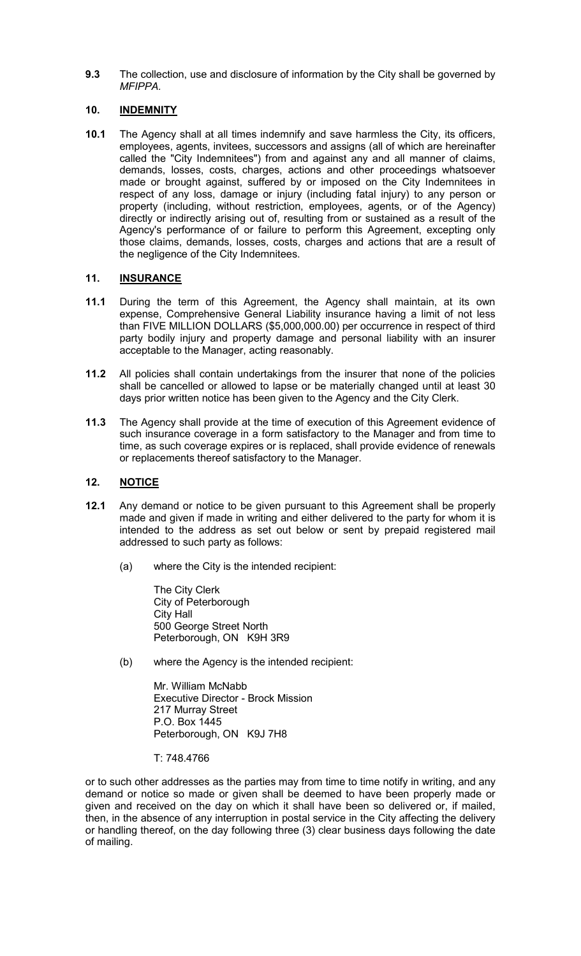9.3 The collection, use and disclosure of information by the City shall be governed by MFIPPA.

# 10. **INDEMNITY**

10.1 The Agency shall at all times indemnify and save harmless the City, its officers, employees, agents, invitees, successors and assigns (all of which are hereinafter called the "City Indemnitees") from and against any and all manner of claims, demands, losses, costs, charges, actions and other proceedings whatsoever made or brought against, suffered by or imposed on the City Indemnitees in respect of any loss, damage or injury (including fatal injury) to any person or property (including, without restriction, employees, agents, or of the Agency) directly or indirectly arising out of, resulting from or sustained as a result of the Agency's performance of or failure to perform this Agreement, excepting only those claims, demands, losses, costs, charges and actions that are a result of the negligence of the City Indemnitees.

# 11. **INSURANCE**

- 11.1 During the term of this Agreement, the Agency shall maintain, at its own expense, Comprehensive General Liability insurance having a limit of not less than FIVE MILLION DOLLARS (\$5,000,000.00) per occurrence in respect of third party bodily injury and property damage and personal liability with an insurer acceptable to the Manager, acting reasonably.
- 11.2 All policies shall contain undertakings from the insurer that none of the policies shall be cancelled or allowed to lapse or be materially changed until at least 30 days prior written notice has been given to the Agency and the City Clerk.
- 11.3 The Agency shall provide at the time of execution of this Agreement evidence of such insurance coverage in a form satisfactory to the Manager and from time to time, as such coverage expires or is replaced, shall provide evidence of renewals or replacements thereof satisfactory to the Manager.

# 12. NOTICE

- 12.1 Any demand or notice to be given pursuant to this Agreement shall be properly made and given if made in writing and either delivered to the party for whom it is intended to the address as set out below or sent by prepaid registered mail addressed to such party as follows:
	- (a) where the City is the intended recipient:

The City Clerk City of Peterborough City Hall 500 George Street North Peterborough, ON K9H 3R9

(b) where the Agency is the intended recipient:

Mr. William McNabb Executive Director - Brock Mission 217 Murray Street P.O. Box 1445 Peterborough, ON K9J 7H8

T: 748.4766

or to such other addresses as the parties may from time to time notify in writing, and any demand or notice so made or given shall be deemed to have been properly made or given and received on the day on which it shall have been so delivered or, if mailed, then, in the absence of any interruption in postal service in the City affecting the delivery or handling thereof, on the day following three (3) clear business days following the date of mailing.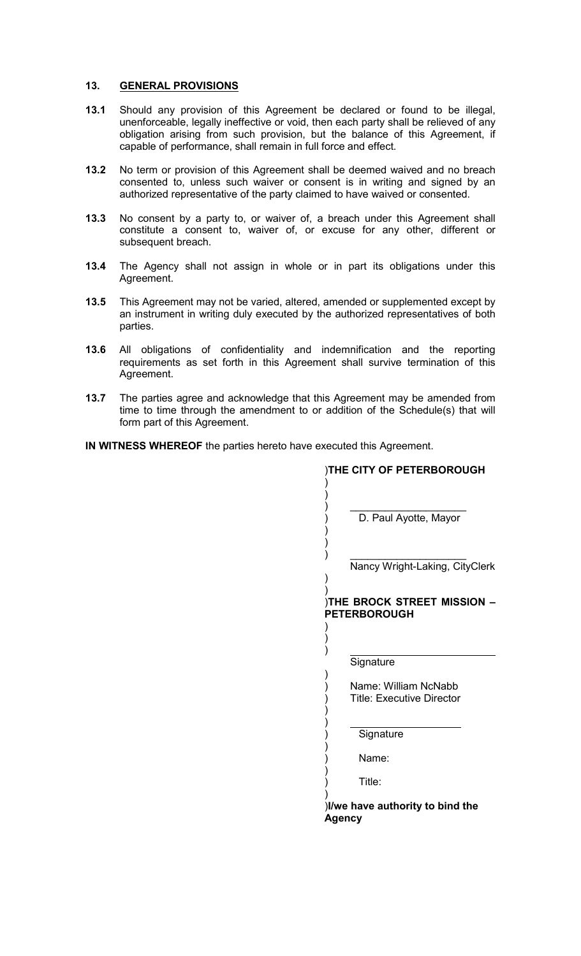# 13. GENERAL PROVISIONS

- 13.1 Should any provision of this Agreement be declared or found to be illegal, unenforceable, legally ineffective or void, then each party shall be relieved of any obligation arising from such provision, but the balance of this Agreement, if capable of performance, shall remain in full force and effect.
- 13.2 No term or provision of this Agreement shall be deemed waived and no breach consented to, unless such waiver or consent is in writing and signed by an authorized representative of the party claimed to have waived or consented.
- 13.3 No consent by a party to, or waiver of, a breach under this Agreement shall constitute a consent to, waiver of, or excuse for any other, different or subsequent breach.
- 13.4 The Agency shall not assign in whole or in part its obligations under this Agreement.
- 13.5 This Agreement may not be varied, altered, amended or supplemented except by an instrument in writing duly executed by the authorized representatives of both parties.
- 13.6 All obligations of confidentiality and indemnification and the reporting requirements as set forth in this Agreement shall survive termination of this Agreement.
- 13.7 The parties agree and acknowledge that this Agreement may be amended from time to time through the amendment to or addition of the Schedule(s) that will form part of this Agreement.

IN WITNESS WHEREOF the parties hereto have executed this Agreement.

| THE CITY OF PETERBOROUGH                                 |  |  |
|----------------------------------------------------------|--|--|
|                                                          |  |  |
| D. Paul Ayotte, Mayor                                    |  |  |
| Nancy Wright-Laking, CityClerk                           |  |  |
|                                                          |  |  |
| THE BROCK STREET MISSION<br><b>PETERBOROUGH</b>          |  |  |
| )                                                        |  |  |
| Signature                                                |  |  |
| Name: William NcNabb<br><b>Title: Executive Director</b> |  |  |
|                                                          |  |  |
| Signature                                                |  |  |
| Name:                                                    |  |  |
| Title:                                                   |  |  |
| I/we have authority to bind the<br>Agency                |  |  |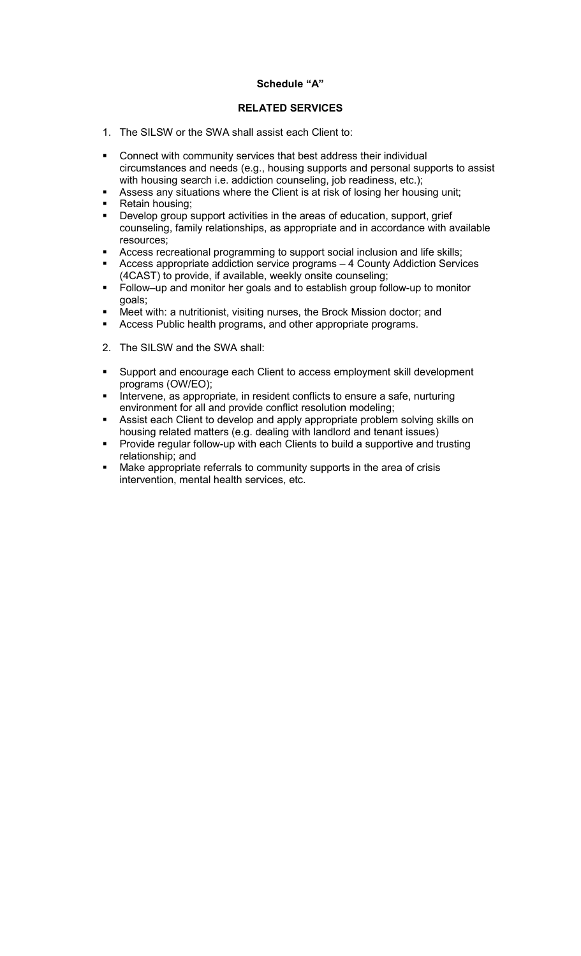# Schedule "A"

# RELATED SERVICES

- 1. The SILSW or the SWA shall assist each Client to:
- Connect with community services that best address their individual circumstances and needs (e.g., housing supports and personal supports to assist with housing search i.e. addiction counseling, job readiness, etc.);
- Assess any situations where the Client is at risk of losing her housing unit;
- Retain housing;
- **•** Develop group support activities in the areas of education, support, grief counseling, family relationships, as appropriate and in accordance with available resources;
- Access recreational programming to support social inclusion and life skills;
- Access appropriate addiction service programs 4 County Addiction Services (4CAST) to provide, if available, weekly onsite counseling;
- Follow–up and monitor her goals and to establish group follow-up to monitor goals;
- Meet with: a nutritionist, visiting nurses, the Brock Mission doctor; and
- **Access Public health programs, and other appropriate programs.**
- 2. The SILSW and the SWA shall:
- Support and encourage each Client to access employment skill development programs (OW/EO);
- **Intervene, as appropriate, in resident conflicts to ensure a safe, nurturing** environment for all and provide conflict resolution modeling;
- Assist each Client to develop and apply appropriate problem solving skills on housing related matters (e.g. dealing with landlord and tenant issues)
- Provide regular follow-up with each Clients to build a supportive and trusting relationship; and
- Make appropriate referrals to community supports in the area of crisis intervention, mental health services, etc.